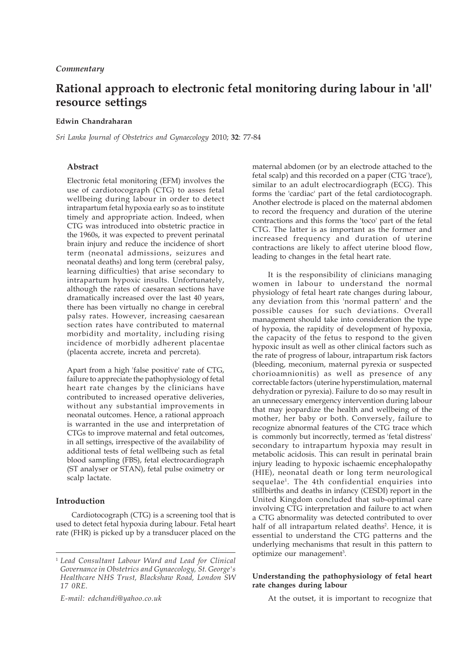# **Rational approach to electronic fetal monitoring during labour in 'all' resource settings**

## **Edwin Chandraharan**

*Sri Lanka Journal of Obstetrics and Gynaecology* 2010; **32**: 77-84

# **Abstract**

Electronic fetal monitoring (EFM) involves the use of cardiotocograph (CTG) to asses fetal wellbeing during labour in order to detect intrapartum fetal hypoxia early so as to institute timely and appropriate action. Indeed, when CTG was introduced into obstetric practice in the 1960s, it was expected to prevent perinatal brain injury and reduce the incidence of short term (neonatal admissions, seizures and neonatal deaths) and long term (cerebral palsy, learning difficulties) that arise secondary to intrapartum hypoxic insults. Unfortunately, although the rates of caesarean sections have dramatically increased over the last 40 years, there has been virtually no change in cerebral palsy rates. However, increasing caesarean section rates have contributed to maternal morbidity and mortality, including rising incidence of morbidly adherent placentae (placenta accrete, increta and percreta).

Apart from a high 'false positive' rate of CTG, failure to appreciate the pathophysiology of fetal heart rate changes by the clinicians have contributed to increased operative deliveries, without any substantial improvements in neonatal outcomes. Hence, a rational approach is warranted in the use and interpretation of CTGs to improve maternal and fetal outcomes, in all settings, irrespective of the availability of additional tests of fetal wellbeing such as fetal blood sampling (FBS), fetal electrocardiograph (ST analyser or STAN), fetal pulse oximetry or scalp lactate.

# **Introduction**

Cardiotocograph (CTG) is a screening tool that is used to detect fetal hypoxia during labour. Fetal heart rate (FHR) is picked up by a transducer placed on the

*E-mail: edchandi@yahoo.co.uk*

maternal abdomen (or by an electrode attached to the fetal scalp) and this recorded on a paper (CTG 'trace'), similar to an adult electrocardiograph (ECG). This forms the 'cardiac' part of the fetal cardiotocograph. Another electrode is placed on the maternal abdomen to record the frequency and duration of the uterine contractions and this forms the 'toco' part of the fetal CTG. The latter is as important as the former and increased frequency and duration of uterine contractions are likely to affect uterine blood flow, leading to changes in the fetal heart rate.

It is the responsibility of clinicians managing women in labour to understand the normal physiology of fetal heart rate changes during labour, any deviation from this 'normal pattern' and the possible causes for such deviations. Overall management should take into consideration the type of hypoxia, the rapidity of development of hypoxia, the capacity of the fetus to respond to the given hypoxic insult as well as other clinical factors such as the rate of progress of labour, intrapartum risk factors (bleeding, meconium, maternal pyrexia or suspected chorioamnionitis) as well as presence of any correctable factors (uterine hyperstimulation, maternal dehydration or pyrexia). Failure to do so may result in an unnecessary emergency intervention during labour that may jeopardize the health and wellbeing of the mother, her baby or both. Conversely, failure to recognize abnormal features of the CTG trace which is commonly but incorrectly, termed as 'fetal distress' secondary to intrapartum hypoxia may result in metabolic acidosis. This can result in perinatal brain injury leading to hypoxic ischaemic encephalopathy (HIE), neonatal death or long term neurological sequelae1. The 4th confidential enquiries into stillbirths and deaths in infancy (CESDI) report in the United Kingdom concluded that sub-optimal care involving CTG interpretation and failure to act when a CTG abnormality was detected contributed to over half of all intrapartum related deaths<sup>2</sup>. Hence, it is essential to understand the CTG patterns and the underlying mechanisms that result in this pattern to optimize our management<sup>3</sup>.

# **Understanding the pathophysiology of fetal heart rate changes during labour**

At the outset, it is important to recognize that

<sup>1</sup> *Lead Consultant Labour Ward and Lead for Clinical Governance in Obstetrics and Gynaecology, St. George's Healthcare NHS Trust, Blackshaw Road, London SW 17 0RE.*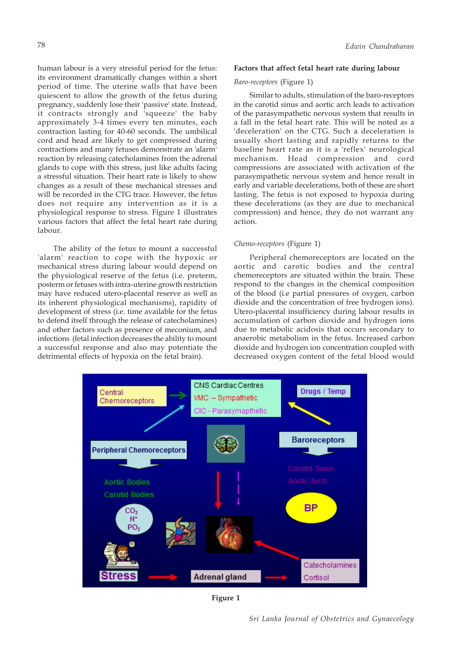human labour is a very stressful period for the fetus: its environment dramatically changes within a short period of time. The uterine walls that have been quiescent to allow the growth of the fetus during pregnancy, suddenly lose their 'passive' state. Instead, it contracts strongly and 'squeeze' the baby approximately 3-4 times every ten minutes, each contraction lasting for 40-60 seconds. The umbilical cord and head are likely to get compressed during contractions and many fetuses demonstrate an 'alarm' reaction by releasing catecholamines from the adrenal glands to cope with this stress, just like adults facing a stressful situation. Their heart rate is likely to show changes as a result of these mechanical stresses and will be recorded in the CTG trace. However, the fetus does not require any intervention as it is a physiological response to stress. Figure 1 illustrates various factors that affect the fetal heart rate during labour.

The ability of the fetus to mount a successful 'alarm' reaction to cope with the hypoxic or mechanical stress during labour would depend on the physiological reserve of the fetus (i.e. preterm, posterm or fetuses with intra-uterine growth restriction may have reduced utero-placental reserve as well as its inherent physiological mechanisms), rapidity of development of stress (i.e. time available for the fetus to defend itself through the release of catecholamines) and other factors such as presence of meconium, and infections (fetal infection decreases the ability to mount a successful response and also may potentiate the detrimental effects of hypoxia on the fetal brain).

# **Factors that affect fetal heart rate during labour**

# *Baro-receptors* (Figure 1)

Similar to adults, stimulation of the baro-receptors in the carotid sinus and aortic arch leads to activation of the parasympathetic nervous system that results in a fall in the fetal heart rate. This will be noted as a 'deceleration' on the CTG. Such a deceleration is usually short lasting and rapidly returns to the baseline heart rate as it is a 'reflex' neurological mechanism. Head compression and cord compressions are associated with activation of the parasympathetic nervous system and hence result in early and variable decelerations, both of these are short lasting. The fetus is not exposed to hypoxia during these decelerations (as they are due to mechanical compression) and hence, they do not warrant any action.

# *Chemo-receptors* (Figure 1)

Peripheral chemoreceptors are located on the aortic and carotic bodies and the central chemoreceptors are situated within the brain. These respond to the changes in the chemical composition of the blood (i.e partial pressures of oxygen, carbon dioxide and the concentration of free hydrogen ions). Utero-placental insufficiency during labour results in accumulation of carbon dioxide and hydrogen ions due to metabolic acidosis that occurs secondary to anaerobic metabolism in the fetus. Increased carbon dioxide and hydrogen ion concentration coupled with decreased oxygen content of the fetal blood would



**Figure 1**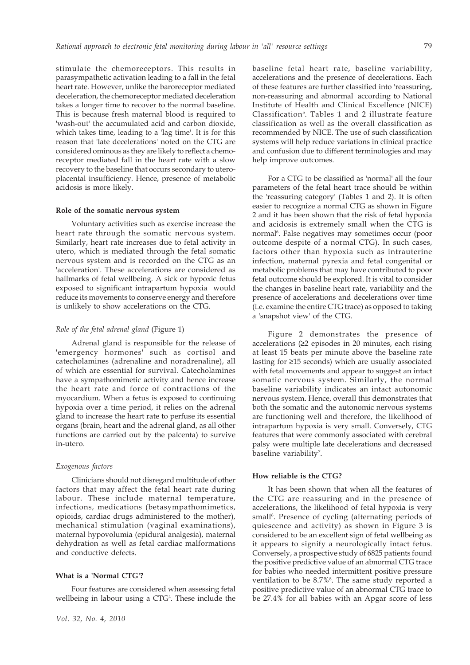stimulate the chemoreceptors. This results in parasympathetic activation leading to a fall in the fetal heart rate. However, unlike the baroreceptor mediated deceleration, the chemoreceptor mediated deceleration takes a longer time to recover to the normal baseline. This is because fresh maternal blood is required to 'wash-out' the accumulated acid and carbon dioxide, which takes time, leading to a 'lag time'. It is for this reason that 'late decelerations' noted on the CTG are considered ominous as they are likely to reflect a chemoreceptor mediated fall in the heart rate with a slow recovery to the baseline that occurs secondary to uteroplacental insufficiency. Hence, presence of metabolic acidosis is more likely.

#### **Role of the somatic nervous system**

Voluntary activities such as exercise increase the heart rate through the somatic nervous system. Similarly, heart rate increases due to fetal activity in utero, which is mediated through the fetal somatic nervous system and is recorded on the CTG as an 'acceleration'. These accelerations are considered as hallmarks of fetal wellbeing. A sick or hypoxic fetus exposed to significant intrapartum hypoxia would reduce its movements to conserve energy and therefore is unlikely to show accelerations on the CTG.

#### *Role of the fetal adrenal gland* (Figure 1)

Adrenal gland is responsible for the release of 'emergency hormones' such as cortisol and catecholamines (adrenaline and noradrenaline), all of which are essential for survival. Catecholamines have a sympathomimetic activity and hence increase the heart rate and force of contractions of the myocardium. When a fetus is exposed to continuing hypoxia over a time period, it relies on the adrenal gland to increase the heart rate to perfuse its essential organs (brain, heart and the adrenal gland, as all other functions are carried out by the palcenta) to survive in-utero.

# *Exogenous factors*

Clinicians should not disregard multitude of other factors that may affect the fetal heart rate during labour. These include maternal temperature, infections, medications (betasympathomimetics, opioids, cardiac drugs administered to the mother), mechanical stimulation (vaginal examinations), maternal hypovolumia (epidural analgesia), maternal dehydration as well as fetal cardiac malformations and conductive defects.

# **What is a 'Normal CTG'?**

Four features are considered when assessing fetal wellbeing in labour using a CTG<sup>4</sup>. These include the baseline fetal heart rate, baseline variability, accelerations and the presence of decelerations. Each of these features are further classified into 'reassuring, non-reassuring and abnormal' according to National Institute of Health and Clinical Excellence (NICE) Classification<sup>5</sup>. Tables 1 and 2 illustrate feature classification as well as the overall classification as recommended by NICE. The use of such classification systems will help reduce variations in clinical practice and confusion due to different terminologies and may help improve outcomes.

For a CTG to be classified as 'normal' all the four parameters of the fetal heart trace should be within the 'reassuring category' (Tables 1 and 2). It is often easier to recognize a normal CTG as shown in Figure 2 and it has been shown that the risk of fetal hypoxia and acidosis is extremely small when the CTG is normal<sup>6</sup>. False negatives may sometimes occur (poor outcome despite of a normal CTG). In such cases, factors other than hypoxia such as intrauterine infection, maternal pyrexia and fetal congenital or metabolic problems that may have contributed to poor fetal outcome should be explored. It is vital to consider the changes in baseline heart rate, variability and the presence of accelerations and decelerations over time (i.e. examine the entire CTG trace) as opposed to taking a 'snapshot view' of the CTG.

Figure 2 demonstrates the presence of accelerations (≥2 episodes in 20 minutes, each rising at least 15 beats per minute above the baseline rate lasting for ≥15 seconds) which are usually associated with fetal movements and appear to suggest an intact somatic nervous system. Similarly, the normal baseline variability indicates an intact autonomic nervous system. Hence, overall this demonstrates that both the somatic and the autonomic nervous systems are functioning well and therefore, the likelihood of intrapartum hypoxia is very small. Conversely, CTG features that were commonly associated with cerebral palsy were multiple late decelerations and decreased baseline variability<sup>7</sup>.

#### **How reliable is the CTG?**

It has been shown that when all the features of the CTG are reassuring and in the presence of accelerations, the likelihood of fetal hypoxia is very small<sup>6</sup>. Presence of cycling (alternating periods of quiescence and activity) as shown in Figure 3 is considered to be an excellent sign of fetal wellbeing as it appears to signify a neurologically intact fetus. Conversely, a prospective study of 6825 patients found the positive predictive value of an abnormal CTG trace for babies who needed intermittent positive pressure ventilation to be 8.7%<sup>8</sup>. The same study reported a positive predictive value of an abnormal CTG trace to be 27.4% for all babies with an Apgar score of less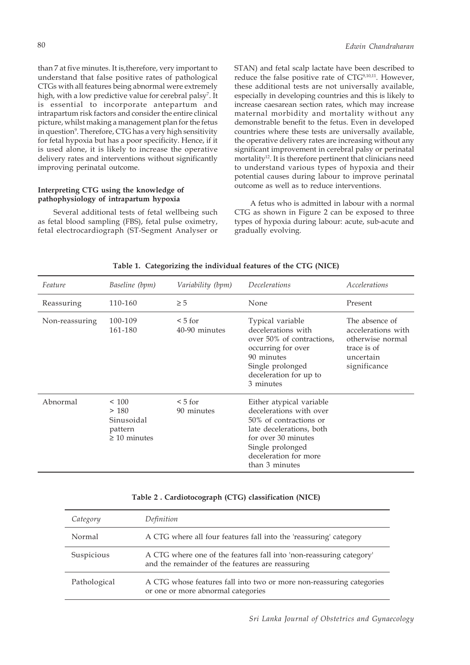than 7 at five minutes. It is,therefore, very important to understand that false positive rates of pathological CTGs with all features being abnormal were extremely high, with a low predictive value for cerebral palsy<sup>7</sup>. It is essential to incorporate antepartum and intrapartum risk factors and consider the entire clinical picture, whilst making a management plan for the fetus in question<sup>9</sup>. Therefore, CTG has a very high sensitivity for fetal hypoxia but has a poor specificity. Hence, if it is used alone, it is likely to increase the operative delivery rates and interventions without significantly improving perinatal outcome.

#### **Interpreting CTG using the knowledge of pathophysiology of intrapartum hypoxia**

Several additional tests of fetal wellbeing such as fetal blood sampling (FBS), fetal pulse oximetry, fetal electrocardiograph (ST-Segment Analyser or STAN) and fetal scalp lactate have been described to reduce the false positive rate of CTG<sup>9,10,11</sup>. However, these additional tests are not universally available, especially in developing countries and this is likely to increase caesarean section rates, which may increase maternal morbidity and mortality without any demonstrable benefit to the fetus. Even in developed countries where these tests are universally available, the operative delivery rates are increasing without any significant improvement in cerebral palsy or perinatal mortality<sup>12</sup>. It is therefore pertinent that clinicians need to understand various types of hypoxia and their potential causes during labour to improve perinatal outcome as well as to reduce interventions.

A fetus who is admitted in labour with a normal CTG as shown in Figure 2 can be exposed to three types of hypoxia during labour: acute, sub-acute and gradually evolving.

| Feature        | Baseline (bpm)                                             | Variability (bpm)             | Decelerations                                                                                                                                                                                   | Accelerations                                                                                        |
|----------------|------------------------------------------------------------|-------------------------------|-------------------------------------------------------------------------------------------------------------------------------------------------------------------------------------------------|------------------------------------------------------------------------------------------------------|
| Reassuring     | 110-160                                                    | $\geq 5$                      | None                                                                                                                                                                                            | Present                                                                                              |
| Non-reassuring | 100-109<br>161-180                                         | $\leq 5$ for<br>40-90 minutes | Typical variable<br>decelerations with<br>over 50% of contractions,<br>occurring for over<br>90 minutes<br>Single prolonged<br>deceleration for up to<br>3 minutes                              | The absence of<br>accelerations with<br>otherwise normal<br>trace is of<br>uncertain<br>significance |
| Abnormal       | ~100<br>>180<br>Sinusoidal<br>pattern<br>$\geq 10$ minutes | $\leq 5$ for<br>90 minutes    | Either atypical variable<br>decelerations with over<br>50% of contractions or<br>late decelerations, both<br>for over 30 minutes<br>Single prolonged<br>deceleration for more<br>than 3 minutes |                                                                                                      |

**Table 1. Categorizing the individual features of the CTG (NICE)**

# **Table 2 . Cardiotocograph (CTG) classification (NICE)**

| Category     | Definition                                                                                                              |  |
|--------------|-------------------------------------------------------------------------------------------------------------------------|--|
| Normal       | A CTG where all four features fall into the 'reassuring' category                                                       |  |
| Suspicious   | A CTG where one of the features fall into 'non-reassuring category'<br>and the remainder of the features are reassuring |  |
| Pathological | A CTG whose features fall into two or more non-reassuring categories<br>or one or more abnormal categories              |  |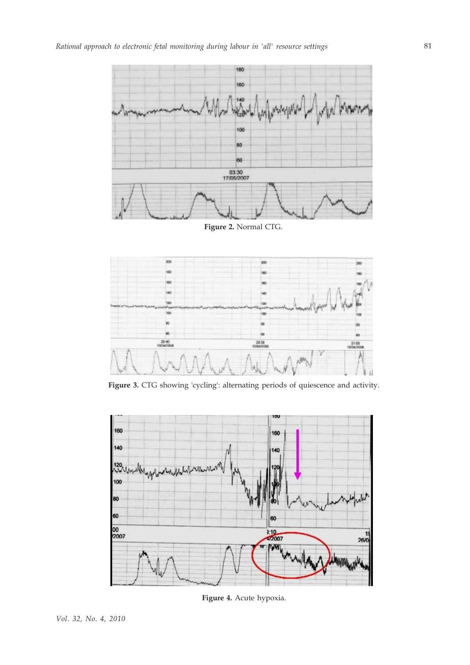

**Figure 2.** Normal CTG.



**Figure 3.** CTG showing 'cycling': alternating periods of quiescence and activity.



**Figure 4.** Acute hypoxia.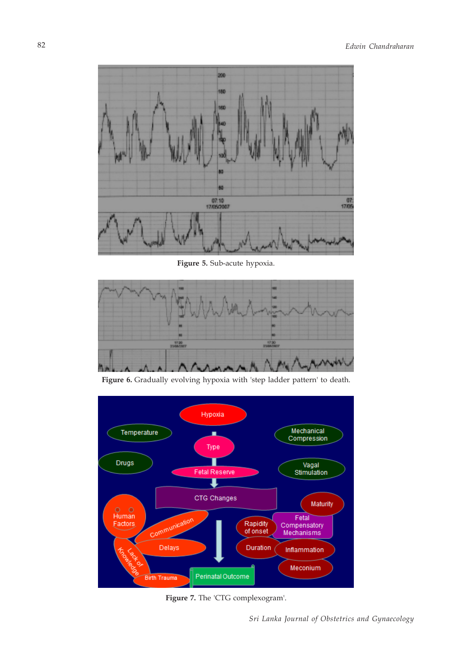

**Figure 5.** Sub-acute hypoxia.



Figure 6. Gradually evolving hypoxia with 'step ladder pattern' to death.



**Figure 7.** The 'CTG complexogram'.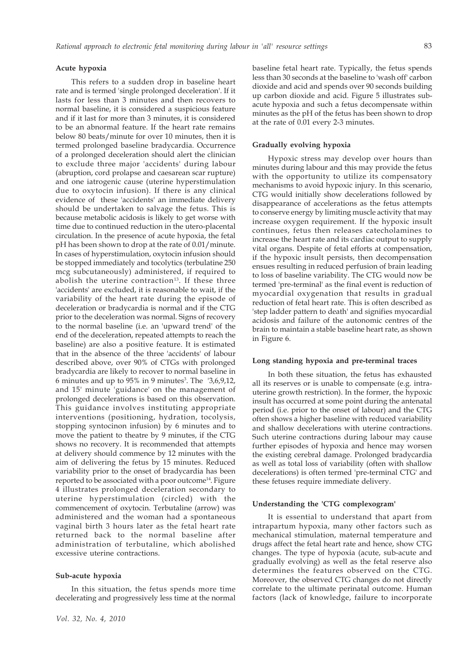#### **Acute hypoxia**

This refers to a sudden drop in baseline heart rate and is termed 'single prolonged deceleration'. If it lasts for less than 3 minutes and then recovers to normal baseline, it is considered a suspicious feature and if it last for more than 3 minutes, it is considered to be an abnormal feature. If the heart rate remains below 80 beats/minute for over 10 minutes, then it is termed prolonged baseline bradycardia. Occurrence of a prolonged deceleration should alert the clinician to exclude three major 'accidents' during labour (abruption, cord prolapse and caesarean scar rupture) and one iatrogenic cause (uterine hyperstimulation due to oxytocin infusion). If there is any clinical evidence of these 'accidents' an immediate delivery should be undertaken to salvage the fetus. This is because metabolic acidosis is likely to get worse with time due to continued reduction in the utero-placental circulation. In the presence of acute hypoxia, the fetal pH has been shown to drop at the rate of 0.01/minute. In cases of hyperstimulation, oxytocin infusion should be stopped immediately and tocolytics (terbulatine 250 mcg subcutaneously) administered, if required to abolish the uterine contraction<sup>13</sup>. If these three 'accidents' are excluded, it is reasonable to wait, if the variability of the heart rate during the episode of deceleration or bradycardia is normal and if the CTG prior to the deceleration was normal. Signs of recovery to the normal baseline (i.e. an 'upward trend' of the end of the deceleration, repeated attempts to reach the baseline) are also a positive feature. It is estimated that in the absence of the three 'accidents' of labour described above, over 90% of CTGs with prolonged bradycardia are likely to recover to normal baseline in 6 minutes and up to  $95\%$  in 9 minutes<sup>3</sup>. The  $\,$  3,6,9,12, and 15' minute 'guidance' on the management of prolonged decelerations is based on this observation. This guidance involves instituting appropriate interventions (positioning, hydration, tocolysis, stopping syntocinon infusion) by 6 minutes and to move the patient to theatre by 9 minutes, if the CTG shows no recovery. It is recommended that attempts at delivery should commence by 12 minutes with the aim of delivering the fetus by 15 minutes. Reduced variability prior to the onset of bradycardia has been reported to be associated with a poor outcome<sup>14</sup>. Figure 4 illustrates prolonged deceleration secondary to uterine hyperstimulation (circled) with the commencement of oxytocin. Terbutaline (arrow) was administered and the woman had a spontaneous vaginal birth 3 hours later as the fetal heart rate returned back to the normal baseline after administration of terbutaline, which abolished excessive uterine contractions.

#### **Sub-acute hypoxia**

In this situation, the fetus spends more time decelerating and progressively less time at the normal baseline fetal heart rate. Typically, the fetus spends less than 30 seconds at the baseline to 'wash off' carbon dioxide and acid and spends over 90 seconds building up carbon dioxide and acid. Figure 5 illustrates subacute hypoxia and such a fetus decompensate within minutes as the pH of the fetus has been shown to drop at the rate of 0.01 every 2-3 minutes.

#### **Gradually evolving hypoxia**

Hypoxic stress may develop over hours than minutes during labour and this may provide the fetus with the opportunity to utilize its compensatory mechanisms to avoid hypoxic injury. In this scenario, CTG would initially show decelerations followed by disappearance of accelerations as the fetus attempts to conserve energy by limiting muscle activity that may increase oxygen requirement. If the hypoxic insult continues, fetus then releases catecholamines to increase the heart rate and its cardiac output to supply vital organs. Despite of fetal efforts at compensation, if the hypoxic insult persists, then decompensation ensues resulting in reduced perfusion of brain leading to loss of baseline variability. The CTG would now be termed 'pre-terminal' as the final event is reduction of myocardial oxygenation that results in gradual reduction of fetal heart rate. This is often described as 'step ladder pattern to death' and signifies myocardial acidosis and failure of the autonomic centres of the brain to maintain a stable baseline heart rate, as shown in Figure 6.

#### **Long standing hypoxia and pre-terminal traces**

In both these situation, the fetus has exhausted all its reserves or is unable to compensate (e.g. intrauterine growth restriction). In the former, the hypoxic insult has occurred at some point during the antenatal period (i.e. prior to the onset of labour) and the CTG often shows a higher baseline with reduced variability and shallow decelerations with uterine contractions. Such uterine contractions during labour may cause further episodes of hypoxia and hence may worsen the existing cerebral damage. Prolonged bradycardia as well as total loss of variability (often with shallow decelerations) is often termed 'pre-terminal CTG' and these fetuses require immediate delivery.

#### **Understanding the 'CTG complexogram'**

It is essential to understand that apart from intrapartum hypoxia, many other factors such as mechanical stimulation, maternal temperature and drugs affect the fetal heart rate and hence, show CTG changes. The type of hypoxia (acute, sub-acute and gradually evolving) as well as the fetal reserve also determines the features observed on the CTG. Moreover, the observed CTG changes do not directly correlate to the ultimate perinatal outcome. Human factors (lack of knowledge, failure to incorporate